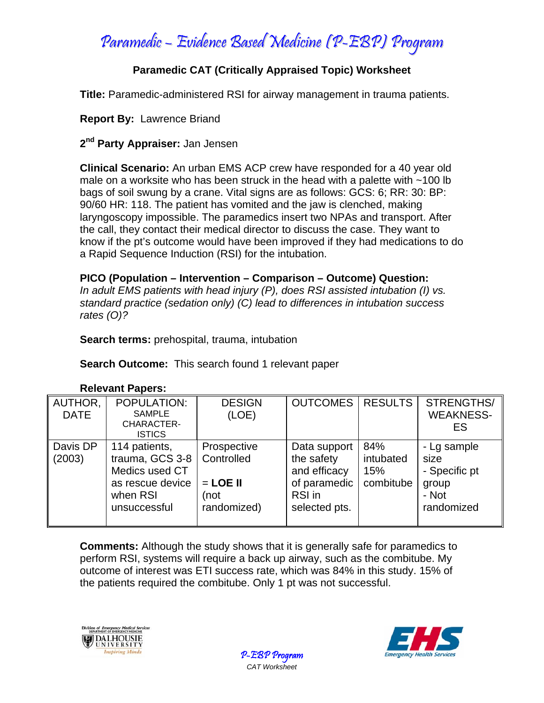Paramedic – Evidence Based Medicine (P-EBP) Program

# **Paramedic CAT (Critically Appraised Topic) Worksheet**

**Title:** Paramedic-administered RSI for airway management in trauma patients.

## **Report By:** Lawrence Briand

### **2nd Party Appraiser:** Jan Jensen

**Clinical Scenario:** An urban EMS ACP crew have responded for a 40 year old male on a worksite who has been struck in the head with a palette with ~100 lb bags of soil swung by a crane. Vital signs are as follows: GCS: 6; RR: 30: BP: 90/60 HR: 118. The patient has vomited and the jaw is clenched, making laryngoscopy impossible. The paramedics insert two NPAs and transport. After the call, they contact their medical director to discuss the case. They want to know if the pt's outcome would have been improved if they had medications to do a Rapid Sequence Induction (RSI) for the intubation.

**PICO (Population – Intervention – Comparison – Outcome) Question:**  *In adult EMS patients with head injury (P), does RSI assisted intubation (I) vs. standard practice (sedation only) (C) lead to differences in intubation success rates (O)?* 

**Search terms:** prehospital, trauma, intubation

**Search Outcome:** This search found 1 relevant paper

| AUTHOR,<br><b>DATE</b> | <b>POPULATION:</b><br><b>SAMPLE</b><br>CHARACTER-<br><b>ISTICS</b>                                 | <b>DESIGN</b><br>(LOE)                                         | <b>OUTCOMES</b>                                                                       | <b>RESULTS</b>                       | STRENGTHS/<br><b>WEAKNESS-</b><br>ES                                 |
|------------------------|----------------------------------------------------------------------------------------------------|----------------------------------------------------------------|---------------------------------------------------------------------------------------|--------------------------------------|----------------------------------------------------------------------|
| Davis DP<br>(2003)     | 114 patients,<br>trauma, GCS 3-8<br>Medics used CT<br>as rescue device<br>when RSI<br>unsuccessful | Prospective<br>Controlled<br>$=$ LOE II<br>(not<br>randomized) | Data support<br>the safety<br>and efficacy<br>of paramedic<br>RSI in<br>selected pts. | 84%<br>intubated<br>15%<br>combitube | - Lg sample<br>size<br>- Specific pt<br>group<br>- Not<br>randomized |

#### **Relevant Papers:**

**Comments:** Although the study shows that it is generally safe for paramedics to perform RSI, systems will require a back up airway, such as the combitube. My outcome of interest was ETI success rate, which was 84% in this study. 15% of the patients required the combitube. Only 1 pt was not successful.





P-EBP Program *CAT Worksheet*